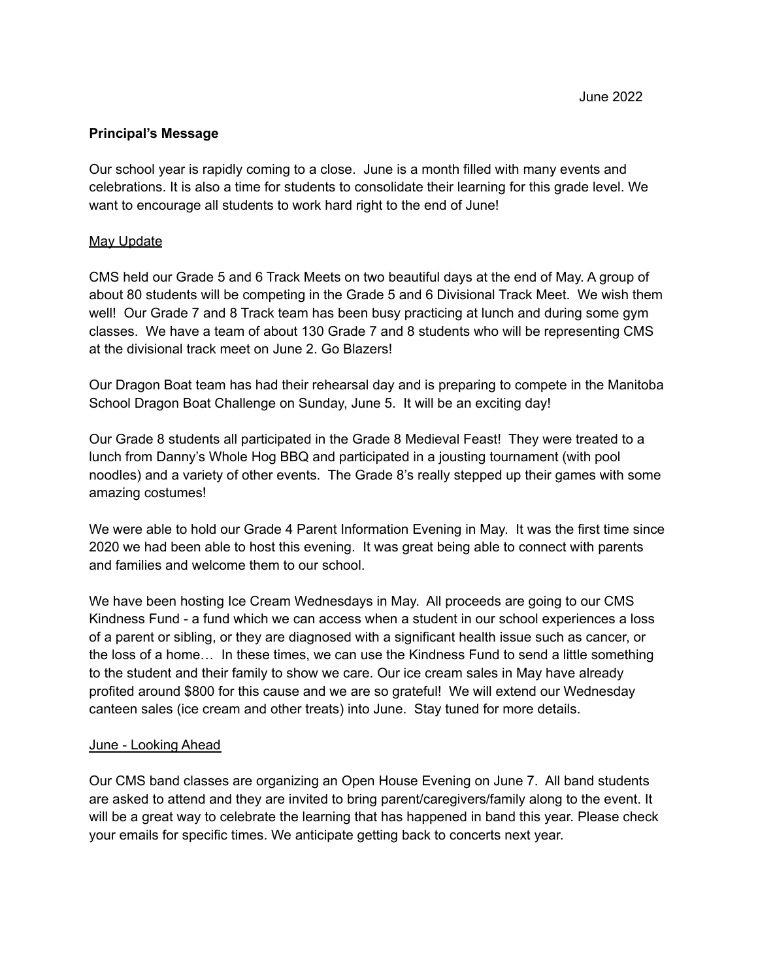# **Principal's Message**

Our school year is rapidly coming to a close. June is a month filled with many events and celebrations. It is also a time for students to consolidate their learning for this grade level. We want to encourage all students to work hard right to the end of June!

# May Update

CMS held our Grade 5 and 6 Track Meets on two beautiful days at the end of May. A group of about 80 students will be competing in the Grade 5 and 6 Divisional Track Meet. We wish them well! Our Grade 7 and 8 Track team has been busy practicing at lunch and during some gym classes. We have a team of about 130 Grade 7 and 8 students who will be representing CMS at the divisional track meet on June 2. Go Blazers!

Our Dragon Boat team has had their rehearsal day and is preparing to compete in the Manitoba School Dragon Boat Challenge on Sunday, June 5. It will be an exciting day!

Our Grade 8 students all participated in the Grade 8 Medieval Feast! They were treated to a lunch from Danny's Whole Hog BBQ and participated in a jousting tournament (with pool noodles) and a variety of other events. The Grade 8's really stepped up their games with some amazing costumes!

We were able to hold our Grade 4 Parent Information Evening in May. It was the first time since 2020 we had been able to host this evening. It was great being able to connect with parents and families and welcome them to our school.

We have been hosting Ice Cream Wednesdays in May. All proceeds are going to our CMS Kindness Fund - a fund which we can access when a student in our school experiences a loss of a parent or sibling, or they are diagnosed with a significant health issue such as cancer, or the loss of a home… In these times, we can use the Kindness Fund to send a little something to the student and their family to show we care. Our ice cream sales in May have already profited around \$800 for this cause and we are so grateful! We will extend our Wednesday canteen sales (ice cream and other treats) into June. Stay tuned for more details.

## June - Looking Ahead

Our CMS band classes are organizing an Open House Evening on June 7. All band students are asked to attend and they are invited to bring parent/caregivers/family along to the event. It will be a great way to celebrate the learning that has happened in band this year. Please check your emails for specific times. We anticipate getting back to concerts next year.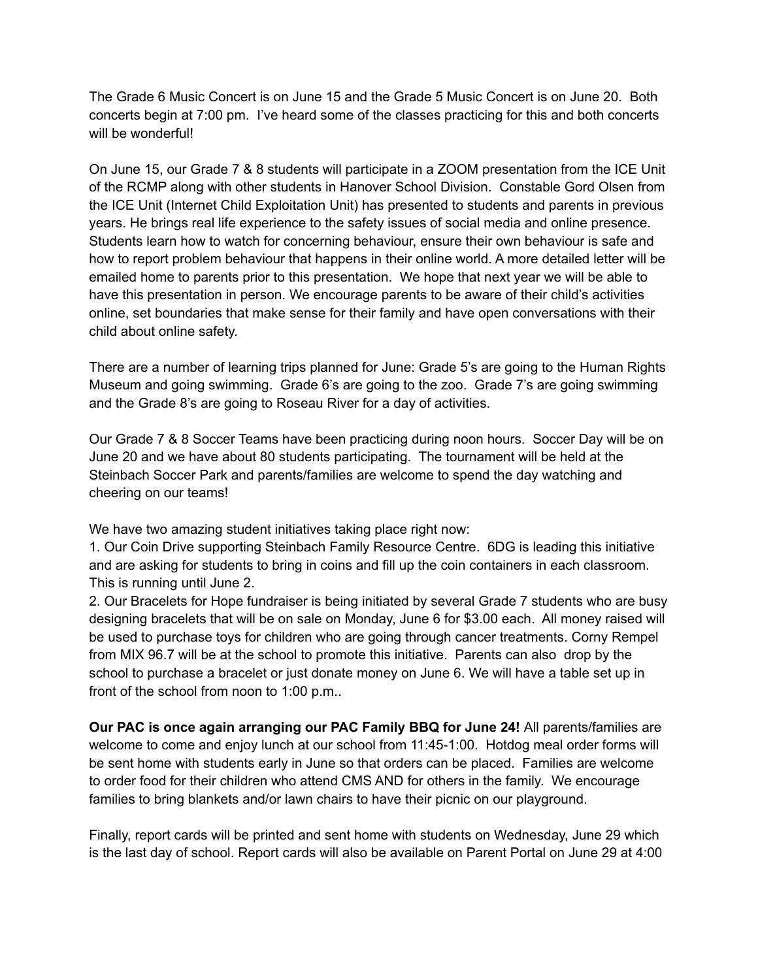The Grade 6 Music Concert is on June 15 and the Grade 5 Music Concert is on June 20. Both concerts begin at 7:00 pm. I've heard some of the classes practicing for this and both concerts will be wonderful!

On June 15, our Grade 7 & 8 students will participate in a ZOOM presentation from the ICE Unit of the RCMP along with other students in Hanover School Division. Constable Gord Olsen from the ICE Unit (Internet Child Exploitation Unit) has presented to students and parents in previous years. He brings real life experience to the safety issues of social media and online presence. Students learn how to watch for concerning behaviour, ensure their own behaviour is safe and how to report problem behaviour that happens in their online world. A more detailed letter will be emailed home to parents prior to this presentation. We hope that next year we will be able to have this presentation in person. We encourage parents to be aware of their child's activities online, set boundaries that make sense for their family and have open conversations with their child about online safety.

There are a number of learning trips planned for June: Grade 5's are going to the Human Rights Museum and going swimming. Grade 6's are going to the zoo. Grade 7's are going swimming and the Grade 8's are going to Roseau River for a day of activities.

Our Grade 7 & 8 Soccer Teams have been practicing during noon hours. Soccer Day will be on June 20 and we have about 80 students participating. The tournament will be held at the Steinbach Soccer Park and parents/families are welcome to spend the day watching and cheering on our teams!

We have two amazing student initiatives taking place right now:

1. Our Coin Drive supporting Steinbach Family Resource Centre. 6DG is leading this initiative and are asking for students to bring in coins and fill up the coin containers in each classroom. This is running until June 2.

2. Our Bracelets for Hope fundraiser is being initiated by several Grade 7 students who are busy designing bracelets that will be on sale on Monday, June 6 for \$3.00 each. All money raised will be used to purchase toys for children who are going through cancer treatments. Corny Rempel from MIX 96.7 will be at the school to promote this initiative. Parents can also drop by the school to purchase a bracelet or just donate money on June 6. We will have a table set up in front of the school from noon to 1:00 p.m..

**Our PAC is once again arranging our PAC Family BBQ for June 24!** All parents/families are welcome to come and enjoy lunch at our school from 11:45-1:00. Hotdog meal order forms will be sent home with students early in June so that orders can be placed. Families are welcome to order food for their children who attend CMS AND for others in the family. We encourage families to bring blankets and/or lawn chairs to have their picnic on our playground.

Finally, report cards will be printed and sent home with students on Wednesday, June 29 which is the last day of school. Report cards will also be available on Parent Portal on June 29 at 4:00